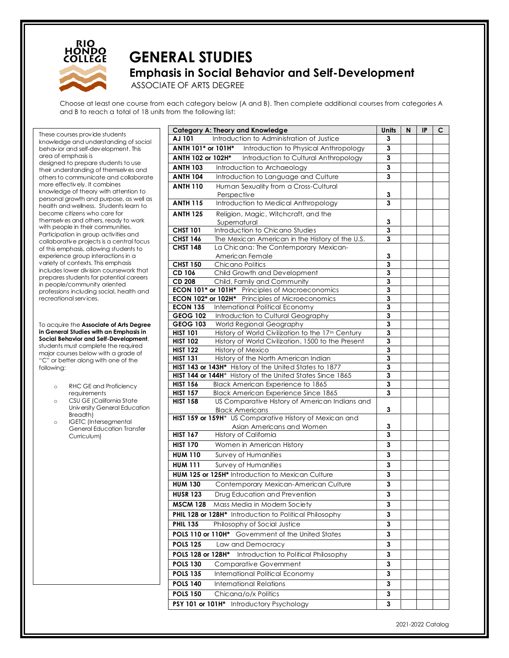

## **GENERAL STUDIES Emphasis in Social Behavior and Self-Development** ASSOCIATE OF ARTS DEGREE

Choose at least one course from each category below (A and B). Then complete additional courses from categories A and B to reach a total of 18 units from the following list:

These courses provide students knowledge and understanding of social behavior and self-development. This area of emphasis is designed to prepare students to use their understanding of themselves and others to communicate and collaborate more effectively. It combines knowledge of theory with attention to personal growth and purpose, as well as health and wellness. Students learn to become citizens who care for themselves and others, ready to work with people in their communities. Participation in group activities and collaborative projects is a central focus of this emphasis, allowing students to experience group interactions in a variety of contexts. This emphasis includes lower division coursework that prepares students for potential careers in people/community oriented professions including social, health and recreational services.

To acquire the **Associate of Arts Degree in General Studies with an Emphasis in Social Behavior and Self-Development**, students must complete the required major courses below with a grade of "C" or better along with one of the following:

- o RHC GE and Proficiency requirements
- o CSU GE (California State University General Education Breadth)
- o IGETC (Intersegmental General Education Transfer Curriculum)

| Introduction to Administration of Justice<br>AJ 101<br>3<br>ANTH 101* or 101H*<br>Introduction to Physical Anthropology<br>3<br>Introduction to Cultural Anthropology<br>ANTH 102 or 102H*<br>3<br><b>ANTH 103</b><br>Introduction to Archaeology<br>3<br><b>ANTH 104</b><br>Introduction to Language and Culture<br>3<br>Human Sexuality from a Cross-Cultural<br><b>ANTH 110</b><br>3<br>Perspective<br><b>ANTH 115</b><br>Introduction to Medical Anthropology<br>3<br>Religion, Magic, Witchcraft, and the<br><b>ANTH 125</b><br>Supernatural<br>3<br><b>CHST 101</b><br>Introduction to Chicano Studies<br>3<br><b>CHST 146</b><br>The Mexican American in the History of the U.S.<br>3<br><b>CHST 148</b><br>La Chicana: The Contemporary Mexican-<br>3<br>American Female<br><b>CHST 150</b><br>Chicano Politics<br>3<br>CD 106<br>Child Growth and Development<br>3<br><b>CD 208</b><br>Child, Family and Community<br>3<br>ECON 101* or 101H* Principles of Macroeconomics<br>3<br>3<br><b>ECON 102* or 102H*</b> Principles of Microeconomics<br><b>ECON 135</b><br>3<br>International Political Economy<br><b>GEOG 102</b><br>Introduction to Cultural Geography<br>3<br><b>GEOG 103</b><br>World Regional Geography<br>3<br><b>HIST 101</b><br>History of World Civilization to the 17 <sup>th</sup> Century<br>$\mathbf{3}$<br><b>HIST 102</b><br>History of World Civilization, 1500 to the Present<br>3<br><b>HIST 122</b><br>History of Mexico<br>3<br><b>HIST 131</b><br>History of the North American Indian<br>3<br>HIST 143 or 143H* History of the United States to 1877<br>3<br>HIST 144 or 144H* History of the United States Since 1865<br>3<br><b>HIST 156</b><br>Black American Experience to 1865<br>3<br>3<br><b>HIST 157</b><br><b>Black American Experience Since 1865</b><br><b>HIST 158</b><br>US Comparative History of American Indians and<br>3<br><b>Black Americans</b><br>HIST 159 or 159H* US Comparative History of Mexican and<br>Asian Americans and Women<br>3<br><b>HIST 167</b><br>History of California<br>3<br><b>HIST 170</b><br>Women in American History<br>3<br><b>HUM 110</b><br>Survey of Humanities<br>3<br><b>HUM 111</b><br>Survey of Humanities<br>3<br><b>HUM 125 or 125H*</b> Introduction to Mexican Culture<br>3<br>3<br><b>HUM 130</b><br>Contemporary Mexican-American Culture<br>Drug Education and Prevention<br><b>HUSR 123</b><br>З<br><b>MSCM 128</b><br>Mass Media in Modern Society<br>3<br>PHIL 128 or 128H* Introduction to Political Philosophy<br>3<br><b>PHIL 135</b><br>Philosophy of Social Justice<br>3<br>POLS 110 or 110H*<br>Government of the United States<br>3<br><b>POLS 125</b><br>Law and Democracy<br>3<br>POLS 128 or 128H*<br>Introduction to Political Philosophy<br>3<br><b>POLS 130</b><br><b>Comparative Government</b><br>3<br><b>POLS 135</b><br>International Political Economy<br>3<br><b>POLS 140</b><br><b>International Relations</b><br>3<br><b>POLS 150</b><br>Chicana/o/x Politics<br>3<br>PSY 101 or 101H* Introductory Psychology<br>3 | <b>Category A: Theory and Knowledge</b> | <b>Units</b> | N | <b>IP</b> | с |
|--------------------------------------------------------------------------------------------------------------------------------------------------------------------------------------------------------------------------------------------------------------------------------------------------------------------------------------------------------------------------------------------------------------------------------------------------------------------------------------------------------------------------------------------------------------------------------------------------------------------------------------------------------------------------------------------------------------------------------------------------------------------------------------------------------------------------------------------------------------------------------------------------------------------------------------------------------------------------------------------------------------------------------------------------------------------------------------------------------------------------------------------------------------------------------------------------------------------------------------------------------------------------------------------------------------------------------------------------------------------------------------------------------------------------------------------------------------------------------------------------------------------------------------------------------------------------------------------------------------------------------------------------------------------------------------------------------------------------------------------------------------------------------------------------------------------------------------------------------------------------------------------------------------------------------------------------------------------------------------------------------------------------------------------------------------------------------------------------------------------------------------------------------------------------------------------------------------------------------------------------------------------------------------------------------------------------------------------------------------------------------------------------------------------------------------------------------------------------------------------------------------------------------------------------------------------------------------------------------------------------------------------------------------------------------------------------------------------------------------------------------------------------------------------------------------------------------------------------------------------------------------------------------------------------------------------------------------------------------------------------------------------------------------------------|-----------------------------------------|--------------|---|-----------|---|
|                                                                                                                                                                                                                                                                                                                                                                                                                                                                                                                                                                                                                                                                                                                                                                                                                                                                                                                                                                                                                                                                                                                                                                                                                                                                                                                                                                                                                                                                                                                                                                                                                                                                                                                                                                                                                                                                                                                                                                                                                                                                                                                                                                                                                                                                                                                                                                                                                                                                                                                                                                                                                                                                                                                                                                                                                                                                                                                                                                                                                                                  |                                         |              |   |           |   |
|                                                                                                                                                                                                                                                                                                                                                                                                                                                                                                                                                                                                                                                                                                                                                                                                                                                                                                                                                                                                                                                                                                                                                                                                                                                                                                                                                                                                                                                                                                                                                                                                                                                                                                                                                                                                                                                                                                                                                                                                                                                                                                                                                                                                                                                                                                                                                                                                                                                                                                                                                                                                                                                                                                                                                                                                                                                                                                                                                                                                                                                  |                                         |              |   |           |   |
|                                                                                                                                                                                                                                                                                                                                                                                                                                                                                                                                                                                                                                                                                                                                                                                                                                                                                                                                                                                                                                                                                                                                                                                                                                                                                                                                                                                                                                                                                                                                                                                                                                                                                                                                                                                                                                                                                                                                                                                                                                                                                                                                                                                                                                                                                                                                                                                                                                                                                                                                                                                                                                                                                                                                                                                                                                                                                                                                                                                                                                                  |                                         |              |   |           |   |
|                                                                                                                                                                                                                                                                                                                                                                                                                                                                                                                                                                                                                                                                                                                                                                                                                                                                                                                                                                                                                                                                                                                                                                                                                                                                                                                                                                                                                                                                                                                                                                                                                                                                                                                                                                                                                                                                                                                                                                                                                                                                                                                                                                                                                                                                                                                                                                                                                                                                                                                                                                                                                                                                                                                                                                                                                                                                                                                                                                                                                                                  |                                         |              |   |           |   |
|                                                                                                                                                                                                                                                                                                                                                                                                                                                                                                                                                                                                                                                                                                                                                                                                                                                                                                                                                                                                                                                                                                                                                                                                                                                                                                                                                                                                                                                                                                                                                                                                                                                                                                                                                                                                                                                                                                                                                                                                                                                                                                                                                                                                                                                                                                                                                                                                                                                                                                                                                                                                                                                                                                                                                                                                                                                                                                                                                                                                                                                  |                                         |              |   |           |   |
|                                                                                                                                                                                                                                                                                                                                                                                                                                                                                                                                                                                                                                                                                                                                                                                                                                                                                                                                                                                                                                                                                                                                                                                                                                                                                                                                                                                                                                                                                                                                                                                                                                                                                                                                                                                                                                                                                                                                                                                                                                                                                                                                                                                                                                                                                                                                                                                                                                                                                                                                                                                                                                                                                                                                                                                                                                                                                                                                                                                                                                                  |                                         |              |   |           |   |
|                                                                                                                                                                                                                                                                                                                                                                                                                                                                                                                                                                                                                                                                                                                                                                                                                                                                                                                                                                                                                                                                                                                                                                                                                                                                                                                                                                                                                                                                                                                                                                                                                                                                                                                                                                                                                                                                                                                                                                                                                                                                                                                                                                                                                                                                                                                                                                                                                                                                                                                                                                                                                                                                                                                                                                                                                                                                                                                                                                                                                                                  |                                         |              |   |           |   |
|                                                                                                                                                                                                                                                                                                                                                                                                                                                                                                                                                                                                                                                                                                                                                                                                                                                                                                                                                                                                                                                                                                                                                                                                                                                                                                                                                                                                                                                                                                                                                                                                                                                                                                                                                                                                                                                                                                                                                                                                                                                                                                                                                                                                                                                                                                                                                                                                                                                                                                                                                                                                                                                                                                                                                                                                                                                                                                                                                                                                                                                  |                                         |              |   |           |   |
|                                                                                                                                                                                                                                                                                                                                                                                                                                                                                                                                                                                                                                                                                                                                                                                                                                                                                                                                                                                                                                                                                                                                                                                                                                                                                                                                                                                                                                                                                                                                                                                                                                                                                                                                                                                                                                                                                                                                                                                                                                                                                                                                                                                                                                                                                                                                                                                                                                                                                                                                                                                                                                                                                                                                                                                                                                                                                                                                                                                                                                                  |                                         |              |   |           |   |
|                                                                                                                                                                                                                                                                                                                                                                                                                                                                                                                                                                                                                                                                                                                                                                                                                                                                                                                                                                                                                                                                                                                                                                                                                                                                                                                                                                                                                                                                                                                                                                                                                                                                                                                                                                                                                                                                                                                                                                                                                                                                                                                                                                                                                                                                                                                                                                                                                                                                                                                                                                                                                                                                                                                                                                                                                                                                                                                                                                                                                                                  |                                         |              |   |           |   |
|                                                                                                                                                                                                                                                                                                                                                                                                                                                                                                                                                                                                                                                                                                                                                                                                                                                                                                                                                                                                                                                                                                                                                                                                                                                                                                                                                                                                                                                                                                                                                                                                                                                                                                                                                                                                                                                                                                                                                                                                                                                                                                                                                                                                                                                                                                                                                                                                                                                                                                                                                                                                                                                                                                                                                                                                                                                                                                                                                                                                                                                  |                                         |              |   |           |   |
|                                                                                                                                                                                                                                                                                                                                                                                                                                                                                                                                                                                                                                                                                                                                                                                                                                                                                                                                                                                                                                                                                                                                                                                                                                                                                                                                                                                                                                                                                                                                                                                                                                                                                                                                                                                                                                                                                                                                                                                                                                                                                                                                                                                                                                                                                                                                                                                                                                                                                                                                                                                                                                                                                                                                                                                                                                                                                                                                                                                                                                                  |                                         |              |   |           |   |
|                                                                                                                                                                                                                                                                                                                                                                                                                                                                                                                                                                                                                                                                                                                                                                                                                                                                                                                                                                                                                                                                                                                                                                                                                                                                                                                                                                                                                                                                                                                                                                                                                                                                                                                                                                                                                                                                                                                                                                                                                                                                                                                                                                                                                                                                                                                                                                                                                                                                                                                                                                                                                                                                                                                                                                                                                                                                                                                                                                                                                                                  |                                         |              |   |           |   |
|                                                                                                                                                                                                                                                                                                                                                                                                                                                                                                                                                                                                                                                                                                                                                                                                                                                                                                                                                                                                                                                                                                                                                                                                                                                                                                                                                                                                                                                                                                                                                                                                                                                                                                                                                                                                                                                                                                                                                                                                                                                                                                                                                                                                                                                                                                                                                                                                                                                                                                                                                                                                                                                                                                                                                                                                                                                                                                                                                                                                                                                  |                                         |              |   |           |   |
|                                                                                                                                                                                                                                                                                                                                                                                                                                                                                                                                                                                                                                                                                                                                                                                                                                                                                                                                                                                                                                                                                                                                                                                                                                                                                                                                                                                                                                                                                                                                                                                                                                                                                                                                                                                                                                                                                                                                                                                                                                                                                                                                                                                                                                                                                                                                                                                                                                                                                                                                                                                                                                                                                                                                                                                                                                                                                                                                                                                                                                                  |                                         |              |   |           |   |
|                                                                                                                                                                                                                                                                                                                                                                                                                                                                                                                                                                                                                                                                                                                                                                                                                                                                                                                                                                                                                                                                                                                                                                                                                                                                                                                                                                                                                                                                                                                                                                                                                                                                                                                                                                                                                                                                                                                                                                                                                                                                                                                                                                                                                                                                                                                                                                                                                                                                                                                                                                                                                                                                                                                                                                                                                                                                                                                                                                                                                                                  |                                         |              |   |           |   |
|                                                                                                                                                                                                                                                                                                                                                                                                                                                                                                                                                                                                                                                                                                                                                                                                                                                                                                                                                                                                                                                                                                                                                                                                                                                                                                                                                                                                                                                                                                                                                                                                                                                                                                                                                                                                                                                                                                                                                                                                                                                                                                                                                                                                                                                                                                                                                                                                                                                                                                                                                                                                                                                                                                                                                                                                                                                                                                                                                                                                                                                  |                                         |              |   |           |   |
|                                                                                                                                                                                                                                                                                                                                                                                                                                                                                                                                                                                                                                                                                                                                                                                                                                                                                                                                                                                                                                                                                                                                                                                                                                                                                                                                                                                                                                                                                                                                                                                                                                                                                                                                                                                                                                                                                                                                                                                                                                                                                                                                                                                                                                                                                                                                                                                                                                                                                                                                                                                                                                                                                                                                                                                                                                                                                                                                                                                                                                                  |                                         |              |   |           |   |
|                                                                                                                                                                                                                                                                                                                                                                                                                                                                                                                                                                                                                                                                                                                                                                                                                                                                                                                                                                                                                                                                                                                                                                                                                                                                                                                                                                                                                                                                                                                                                                                                                                                                                                                                                                                                                                                                                                                                                                                                                                                                                                                                                                                                                                                                                                                                                                                                                                                                                                                                                                                                                                                                                                                                                                                                                                                                                                                                                                                                                                                  |                                         |              |   |           |   |
|                                                                                                                                                                                                                                                                                                                                                                                                                                                                                                                                                                                                                                                                                                                                                                                                                                                                                                                                                                                                                                                                                                                                                                                                                                                                                                                                                                                                                                                                                                                                                                                                                                                                                                                                                                                                                                                                                                                                                                                                                                                                                                                                                                                                                                                                                                                                                                                                                                                                                                                                                                                                                                                                                                                                                                                                                                                                                                                                                                                                                                                  |                                         |              |   |           |   |
|                                                                                                                                                                                                                                                                                                                                                                                                                                                                                                                                                                                                                                                                                                                                                                                                                                                                                                                                                                                                                                                                                                                                                                                                                                                                                                                                                                                                                                                                                                                                                                                                                                                                                                                                                                                                                                                                                                                                                                                                                                                                                                                                                                                                                                                                                                                                                                                                                                                                                                                                                                                                                                                                                                                                                                                                                                                                                                                                                                                                                                                  |                                         |              |   |           |   |
|                                                                                                                                                                                                                                                                                                                                                                                                                                                                                                                                                                                                                                                                                                                                                                                                                                                                                                                                                                                                                                                                                                                                                                                                                                                                                                                                                                                                                                                                                                                                                                                                                                                                                                                                                                                                                                                                                                                                                                                                                                                                                                                                                                                                                                                                                                                                                                                                                                                                                                                                                                                                                                                                                                                                                                                                                                                                                                                                                                                                                                                  |                                         |              |   |           |   |
|                                                                                                                                                                                                                                                                                                                                                                                                                                                                                                                                                                                                                                                                                                                                                                                                                                                                                                                                                                                                                                                                                                                                                                                                                                                                                                                                                                                                                                                                                                                                                                                                                                                                                                                                                                                                                                                                                                                                                                                                                                                                                                                                                                                                                                                                                                                                                                                                                                                                                                                                                                                                                                                                                                                                                                                                                                                                                                                                                                                                                                                  |                                         |              |   |           |   |
|                                                                                                                                                                                                                                                                                                                                                                                                                                                                                                                                                                                                                                                                                                                                                                                                                                                                                                                                                                                                                                                                                                                                                                                                                                                                                                                                                                                                                                                                                                                                                                                                                                                                                                                                                                                                                                                                                                                                                                                                                                                                                                                                                                                                                                                                                                                                                                                                                                                                                                                                                                                                                                                                                                                                                                                                                                                                                                                                                                                                                                                  |                                         |              |   |           |   |
|                                                                                                                                                                                                                                                                                                                                                                                                                                                                                                                                                                                                                                                                                                                                                                                                                                                                                                                                                                                                                                                                                                                                                                                                                                                                                                                                                                                                                                                                                                                                                                                                                                                                                                                                                                                                                                                                                                                                                                                                                                                                                                                                                                                                                                                                                                                                                                                                                                                                                                                                                                                                                                                                                                                                                                                                                                                                                                                                                                                                                                                  |                                         |              |   |           |   |
|                                                                                                                                                                                                                                                                                                                                                                                                                                                                                                                                                                                                                                                                                                                                                                                                                                                                                                                                                                                                                                                                                                                                                                                                                                                                                                                                                                                                                                                                                                                                                                                                                                                                                                                                                                                                                                                                                                                                                                                                                                                                                                                                                                                                                                                                                                                                                                                                                                                                                                                                                                                                                                                                                                                                                                                                                                                                                                                                                                                                                                                  |                                         |              |   |           |   |
|                                                                                                                                                                                                                                                                                                                                                                                                                                                                                                                                                                                                                                                                                                                                                                                                                                                                                                                                                                                                                                                                                                                                                                                                                                                                                                                                                                                                                                                                                                                                                                                                                                                                                                                                                                                                                                                                                                                                                                                                                                                                                                                                                                                                                                                                                                                                                                                                                                                                                                                                                                                                                                                                                                                                                                                                                                                                                                                                                                                                                                                  |                                         |              |   |           |   |
|                                                                                                                                                                                                                                                                                                                                                                                                                                                                                                                                                                                                                                                                                                                                                                                                                                                                                                                                                                                                                                                                                                                                                                                                                                                                                                                                                                                                                                                                                                                                                                                                                                                                                                                                                                                                                                                                                                                                                                                                                                                                                                                                                                                                                                                                                                                                                                                                                                                                                                                                                                                                                                                                                                                                                                                                                                                                                                                                                                                                                                                  |                                         |              |   |           |   |
|                                                                                                                                                                                                                                                                                                                                                                                                                                                                                                                                                                                                                                                                                                                                                                                                                                                                                                                                                                                                                                                                                                                                                                                                                                                                                                                                                                                                                                                                                                                                                                                                                                                                                                                                                                                                                                                                                                                                                                                                                                                                                                                                                                                                                                                                                                                                                                                                                                                                                                                                                                                                                                                                                                                                                                                                                                                                                                                                                                                                                                                  |                                         |              |   |           |   |
|                                                                                                                                                                                                                                                                                                                                                                                                                                                                                                                                                                                                                                                                                                                                                                                                                                                                                                                                                                                                                                                                                                                                                                                                                                                                                                                                                                                                                                                                                                                                                                                                                                                                                                                                                                                                                                                                                                                                                                                                                                                                                                                                                                                                                                                                                                                                                                                                                                                                                                                                                                                                                                                                                                                                                                                                                                                                                                                                                                                                                                                  |                                         |              |   |           |   |
|                                                                                                                                                                                                                                                                                                                                                                                                                                                                                                                                                                                                                                                                                                                                                                                                                                                                                                                                                                                                                                                                                                                                                                                                                                                                                                                                                                                                                                                                                                                                                                                                                                                                                                                                                                                                                                                                                                                                                                                                                                                                                                                                                                                                                                                                                                                                                                                                                                                                                                                                                                                                                                                                                                                                                                                                                                                                                                                                                                                                                                                  |                                         |              |   |           |   |
|                                                                                                                                                                                                                                                                                                                                                                                                                                                                                                                                                                                                                                                                                                                                                                                                                                                                                                                                                                                                                                                                                                                                                                                                                                                                                                                                                                                                                                                                                                                                                                                                                                                                                                                                                                                                                                                                                                                                                                                                                                                                                                                                                                                                                                                                                                                                                                                                                                                                                                                                                                                                                                                                                                                                                                                                                                                                                                                                                                                                                                                  |                                         |              |   |           |   |
|                                                                                                                                                                                                                                                                                                                                                                                                                                                                                                                                                                                                                                                                                                                                                                                                                                                                                                                                                                                                                                                                                                                                                                                                                                                                                                                                                                                                                                                                                                                                                                                                                                                                                                                                                                                                                                                                                                                                                                                                                                                                                                                                                                                                                                                                                                                                                                                                                                                                                                                                                                                                                                                                                                                                                                                                                                                                                                                                                                                                                                                  |                                         |              |   |           |   |
|                                                                                                                                                                                                                                                                                                                                                                                                                                                                                                                                                                                                                                                                                                                                                                                                                                                                                                                                                                                                                                                                                                                                                                                                                                                                                                                                                                                                                                                                                                                                                                                                                                                                                                                                                                                                                                                                                                                                                                                                                                                                                                                                                                                                                                                                                                                                                                                                                                                                                                                                                                                                                                                                                                                                                                                                                                                                                                                                                                                                                                                  |                                         |              |   |           |   |
|                                                                                                                                                                                                                                                                                                                                                                                                                                                                                                                                                                                                                                                                                                                                                                                                                                                                                                                                                                                                                                                                                                                                                                                                                                                                                                                                                                                                                                                                                                                                                                                                                                                                                                                                                                                                                                                                                                                                                                                                                                                                                                                                                                                                                                                                                                                                                                                                                                                                                                                                                                                                                                                                                                                                                                                                                                                                                                                                                                                                                                                  |                                         |              |   |           |   |
|                                                                                                                                                                                                                                                                                                                                                                                                                                                                                                                                                                                                                                                                                                                                                                                                                                                                                                                                                                                                                                                                                                                                                                                                                                                                                                                                                                                                                                                                                                                                                                                                                                                                                                                                                                                                                                                                                                                                                                                                                                                                                                                                                                                                                                                                                                                                                                                                                                                                                                                                                                                                                                                                                                                                                                                                                                                                                                                                                                                                                                                  |                                         |              |   |           |   |
|                                                                                                                                                                                                                                                                                                                                                                                                                                                                                                                                                                                                                                                                                                                                                                                                                                                                                                                                                                                                                                                                                                                                                                                                                                                                                                                                                                                                                                                                                                                                                                                                                                                                                                                                                                                                                                                                                                                                                                                                                                                                                                                                                                                                                                                                                                                                                                                                                                                                                                                                                                                                                                                                                                                                                                                                                                                                                                                                                                                                                                                  |                                         |              |   |           |   |
|                                                                                                                                                                                                                                                                                                                                                                                                                                                                                                                                                                                                                                                                                                                                                                                                                                                                                                                                                                                                                                                                                                                                                                                                                                                                                                                                                                                                                                                                                                                                                                                                                                                                                                                                                                                                                                                                                                                                                                                                                                                                                                                                                                                                                                                                                                                                                                                                                                                                                                                                                                                                                                                                                                                                                                                                                                                                                                                                                                                                                                                  |                                         |              |   |           |   |
|                                                                                                                                                                                                                                                                                                                                                                                                                                                                                                                                                                                                                                                                                                                                                                                                                                                                                                                                                                                                                                                                                                                                                                                                                                                                                                                                                                                                                                                                                                                                                                                                                                                                                                                                                                                                                                                                                                                                                                                                                                                                                                                                                                                                                                                                                                                                                                                                                                                                                                                                                                                                                                                                                                                                                                                                                                                                                                                                                                                                                                                  |                                         |              |   |           |   |
|                                                                                                                                                                                                                                                                                                                                                                                                                                                                                                                                                                                                                                                                                                                                                                                                                                                                                                                                                                                                                                                                                                                                                                                                                                                                                                                                                                                                                                                                                                                                                                                                                                                                                                                                                                                                                                                                                                                                                                                                                                                                                                                                                                                                                                                                                                                                                                                                                                                                                                                                                                                                                                                                                                                                                                                                                                                                                                                                                                                                                                                  |                                         |              |   |           |   |
|                                                                                                                                                                                                                                                                                                                                                                                                                                                                                                                                                                                                                                                                                                                                                                                                                                                                                                                                                                                                                                                                                                                                                                                                                                                                                                                                                                                                                                                                                                                                                                                                                                                                                                                                                                                                                                                                                                                                                                                                                                                                                                                                                                                                                                                                                                                                                                                                                                                                                                                                                                                                                                                                                                                                                                                                                                                                                                                                                                                                                                                  |                                         |              |   |           |   |
|                                                                                                                                                                                                                                                                                                                                                                                                                                                                                                                                                                                                                                                                                                                                                                                                                                                                                                                                                                                                                                                                                                                                                                                                                                                                                                                                                                                                                                                                                                                                                                                                                                                                                                                                                                                                                                                                                                                                                                                                                                                                                                                                                                                                                                                                                                                                                                                                                                                                                                                                                                                                                                                                                                                                                                                                                                                                                                                                                                                                                                                  |                                         |              |   |           |   |
|                                                                                                                                                                                                                                                                                                                                                                                                                                                                                                                                                                                                                                                                                                                                                                                                                                                                                                                                                                                                                                                                                                                                                                                                                                                                                                                                                                                                                                                                                                                                                                                                                                                                                                                                                                                                                                                                                                                                                                                                                                                                                                                                                                                                                                                                                                                                                                                                                                                                                                                                                                                                                                                                                                                                                                                                                                                                                                                                                                                                                                                  |                                         |              |   |           |   |
|                                                                                                                                                                                                                                                                                                                                                                                                                                                                                                                                                                                                                                                                                                                                                                                                                                                                                                                                                                                                                                                                                                                                                                                                                                                                                                                                                                                                                                                                                                                                                                                                                                                                                                                                                                                                                                                                                                                                                                                                                                                                                                                                                                                                                                                                                                                                                                                                                                                                                                                                                                                                                                                                                                                                                                                                                                                                                                                                                                                                                                                  |                                         |              |   |           |   |
|                                                                                                                                                                                                                                                                                                                                                                                                                                                                                                                                                                                                                                                                                                                                                                                                                                                                                                                                                                                                                                                                                                                                                                                                                                                                                                                                                                                                                                                                                                                                                                                                                                                                                                                                                                                                                                                                                                                                                                                                                                                                                                                                                                                                                                                                                                                                                                                                                                                                                                                                                                                                                                                                                                                                                                                                                                                                                                                                                                                                                                                  |                                         |              |   |           |   |
|                                                                                                                                                                                                                                                                                                                                                                                                                                                                                                                                                                                                                                                                                                                                                                                                                                                                                                                                                                                                                                                                                                                                                                                                                                                                                                                                                                                                                                                                                                                                                                                                                                                                                                                                                                                                                                                                                                                                                                                                                                                                                                                                                                                                                                                                                                                                                                                                                                                                                                                                                                                                                                                                                                                                                                                                                                                                                                                                                                                                                                                  |                                         |              |   |           |   |
|                                                                                                                                                                                                                                                                                                                                                                                                                                                                                                                                                                                                                                                                                                                                                                                                                                                                                                                                                                                                                                                                                                                                                                                                                                                                                                                                                                                                                                                                                                                                                                                                                                                                                                                                                                                                                                                                                                                                                                                                                                                                                                                                                                                                                                                                                                                                                                                                                                                                                                                                                                                                                                                                                                                                                                                                                                                                                                                                                                                                                                                  |                                         |              |   |           |   |
|                                                                                                                                                                                                                                                                                                                                                                                                                                                                                                                                                                                                                                                                                                                                                                                                                                                                                                                                                                                                                                                                                                                                                                                                                                                                                                                                                                                                                                                                                                                                                                                                                                                                                                                                                                                                                                                                                                                                                                                                                                                                                                                                                                                                                                                                                                                                                                                                                                                                                                                                                                                                                                                                                                                                                                                                                                                                                                                                                                                                                                                  |                                         |              |   |           |   |
|                                                                                                                                                                                                                                                                                                                                                                                                                                                                                                                                                                                                                                                                                                                                                                                                                                                                                                                                                                                                                                                                                                                                                                                                                                                                                                                                                                                                                                                                                                                                                                                                                                                                                                                                                                                                                                                                                                                                                                                                                                                                                                                                                                                                                                                                                                                                                                                                                                                                                                                                                                                                                                                                                                                                                                                                                                                                                                                                                                                                                                                  |                                         |              |   |           |   |
|                                                                                                                                                                                                                                                                                                                                                                                                                                                                                                                                                                                                                                                                                                                                                                                                                                                                                                                                                                                                                                                                                                                                                                                                                                                                                                                                                                                                                                                                                                                                                                                                                                                                                                                                                                                                                                                                                                                                                                                                                                                                                                                                                                                                                                                                                                                                                                                                                                                                                                                                                                                                                                                                                                                                                                                                                                                                                                                                                                                                                                                  |                                         |              |   |           |   |
|                                                                                                                                                                                                                                                                                                                                                                                                                                                                                                                                                                                                                                                                                                                                                                                                                                                                                                                                                                                                                                                                                                                                                                                                                                                                                                                                                                                                                                                                                                                                                                                                                                                                                                                                                                                                                                                                                                                                                                                                                                                                                                                                                                                                                                                                                                                                                                                                                                                                                                                                                                                                                                                                                                                                                                                                                                                                                                                                                                                                                                                  |                                         |              |   |           |   |

2021-2022 Catalog